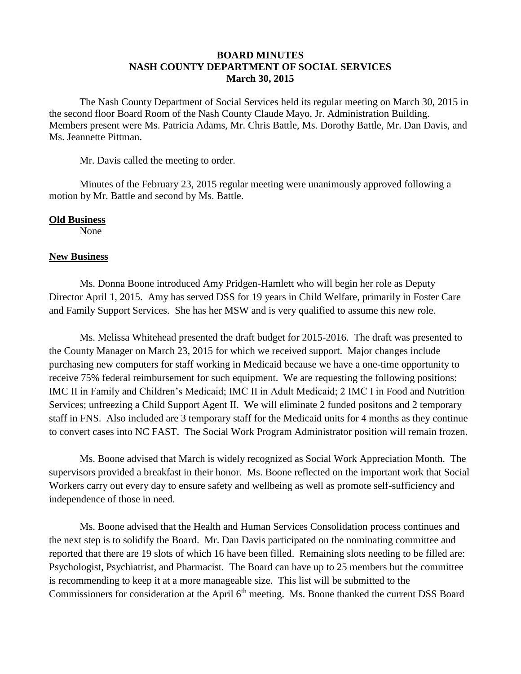## **BOARD MINUTES NASH COUNTY DEPARTMENT OF SOCIAL SERVICES March 30, 2015**

The Nash County Department of Social Services held its regular meeting on March 30, 2015 in the second floor Board Room of the Nash County Claude Mayo, Jr. Administration Building. Members present were Ms. Patricia Adams, Mr. Chris Battle, Ms. Dorothy Battle, Mr. Dan Davis, and Ms. Jeannette Pittman.

Mr. Davis called the meeting to order.

Minutes of the February 23, 2015 regular meeting were unanimously approved following a motion by Mr. Battle and second by Ms. Battle.

## **Old Business**

None

## **New Business**

Ms. Donna Boone introduced Amy Pridgen-Hamlett who will begin her role as Deputy Director April 1, 2015. Amy has served DSS for 19 years in Child Welfare, primarily in Foster Care and Family Support Services. She has her MSW and is very qualified to assume this new role.

Ms. Melissa Whitehead presented the draft budget for 2015-2016. The draft was presented to the County Manager on March 23, 2015 for which we received support. Major changes include purchasing new computers for staff working in Medicaid because we have a one-time opportunity to receive 75% federal reimbursement for such equipment. We are requesting the following positions: IMC II in Family and Children's Medicaid; IMC II in Adult Medicaid; 2 IMC I in Food and Nutrition Services; unfreezing a Child Support Agent II. We will eliminate 2 funded positons and 2 temporary staff in FNS. Also included are 3 temporary staff for the Medicaid units for 4 months as they continue to convert cases into NC FAST. The Social Work Program Administrator position will remain frozen.

Ms. Boone advised that March is widely recognized as Social Work Appreciation Month. The supervisors provided a breakfast in their honor. Ms. Boone reflected on the important work that Social Workers carry out every day to ensure safety and wellbeing as well as promote self-sufficiency and independence of those in need.

Ms. Boone advised that the Health and Human Services Consolidation process continues and the next step is to solidify the Board. Mr. Dan Davis participated on the nominating committee and reported that there are 19 slots of which 16 have been filled. Remaining slots needing to be filled are: Psychologist, Psychiatrist, and Pharmacist. The Board can have up to 25 members but the committee is recommending to keep it at a more manageable size. This list will be submitted to the Commissioners for consideration at the April 6<sup>th</sup> meeting. Ms. Boone thanked the current DSS Board